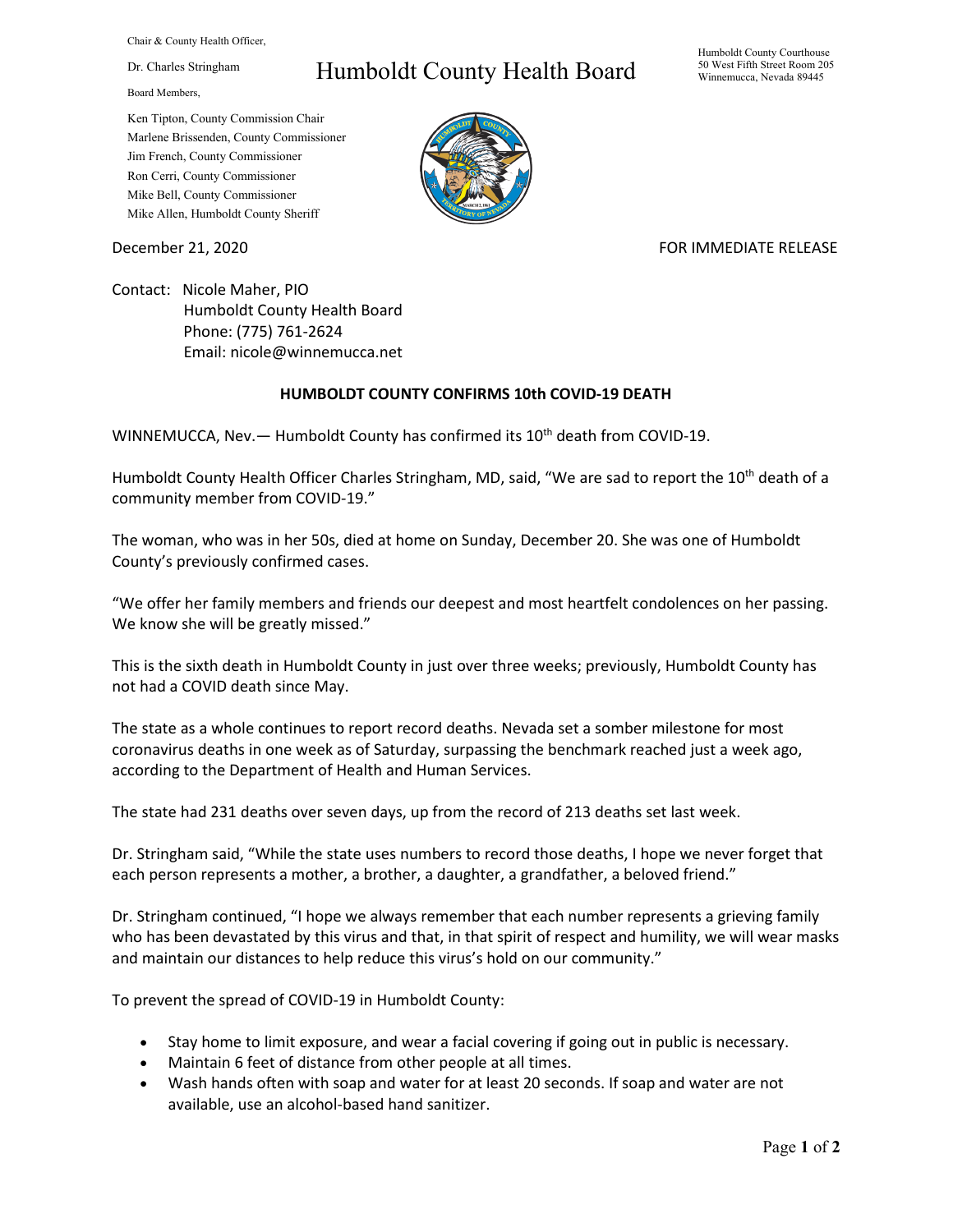Chair & County Health Officer,

Dr. Charles Stringham

Board Members,

## Humboldt County Health Board

Humboldt County Courthouse 50 West Fifth Street Room 205 Winnemucca, Nevada 89445

Ken Tipton, County Commission Chair Marlene Brissenden, County Commissioner Jim French, County Commissioner Ron Cerri, County Commissioner Mike Bell, County Commissioner Mike Allen, Humboldt County Sheriff

December 21, 2020 **FOR IMMEDIATE RELEASE** 

Contact: Nicole Maher, PIO Humboldt County Health Board Phone: (775) 761-2624 Email: nicole@winnemucca.net

## **HUMBOLDT COUNTY CONFIRMS 10th COVID-19 DEATH**

WINNEMUCCA, Nev. - Humboldt County has confirmed its 10<sup>th</sup> death from COVID-19.

Humboldt County Health Officer Charles Stringham, MD, said, "We are sad to report the 10<sup>th</sup> death of a community member from COVID-19."

The woman, who was in her 50s, died at home on Sunday, December 20. She was one of Humboldt County's previously confirmed cases.

"We offer her family members and friends our deepest and most heartfelt condolences on her passing. We know she will be greatly missed."

This is the sixth death in Humboldt County in just over three weeks; previously, Humboldt County has not had a COVID death since May.

The state as a whole continues to report record deaths. Nevada set a somber milestone for most coronavirus deaths in one week as of Saturday, surpassing the benchmark reached just a week ago, according to the Department of Health and Human Services.

The state had 231 deaths over seven days, up from the record of 213 deaths set last week.

Dr. Stringham said, "While the state uses numbers to record those deaths, I hope we never forget that each person represents a mother, a brother, a daughter, a grandfather, a beloved friend."

Dr. Stringham continued, "I hope we always remember that each number represents a grieving family who has been devastated by this virus and that, in that spirit of respect and humility, we will wear masks and maintain our distances to help reduce this virus's hold on our community."

To prevent the spread of COVID-19 in Humboldt County:

- Stay home to limit exposure, and wear a facial covering if going out in public is necessary.
- Maintain 6 feet of distance from other people at all times.
- Wash hands often with soap and water for at least 20 seconds. If soap and water are not available, use an alcohol-based hand sanitizer.